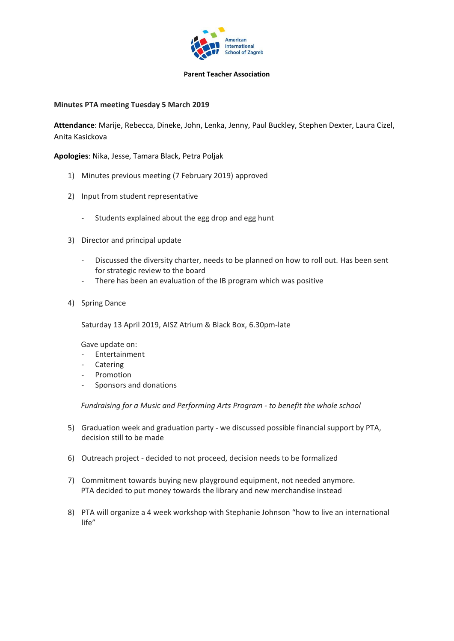

## **Parent Teacher Association**

## **Minutes PTA meeting Tuesday 5 March 2019**

**Attendance**: Marije, Rebecca, Dineke, John, Lenka, Jenny, Paul Buckley, Stephen Dexter, Laura Cizel, Anita Kasickova

**Apologies**: Nika, Jesse, Tamara Black, Petra Poljak

- 1) Minutes previous meeting (7 February 2019) approved
- 2) Input from student representative
	- Students explained about the egg drop and egg hunt
- 3) Director and principal update
	- Discussed the diversity charter, needs to be planned on how to roll out. Has been sent for strategic review to the board
	- There has been an evaluation of the IB program which was positive
- 4) Spring Dance

Saturday 13 April 2019, AISZ Atrium & Black Box, 6.30pm-late

Gave update on:

- Entertainment
- Catering
- Promotion
- Sponsors and donations

*Fundraising for a Music and Performing Arts Program - to benefit the whole school*

- 5) Graduation week and graduation party we discussed possible financial support by PTA, decision still to be made
- 6) Outreach project decided to not proceed, decision needs to be formalized
- 7) Commitment towards buying new playground equipment, not needed anymore. PTA decided to put money towards the library and new merchandise instead
- 8) PTA will organize a 4 week workshop with Stephanie Johnson "how to live an international life"